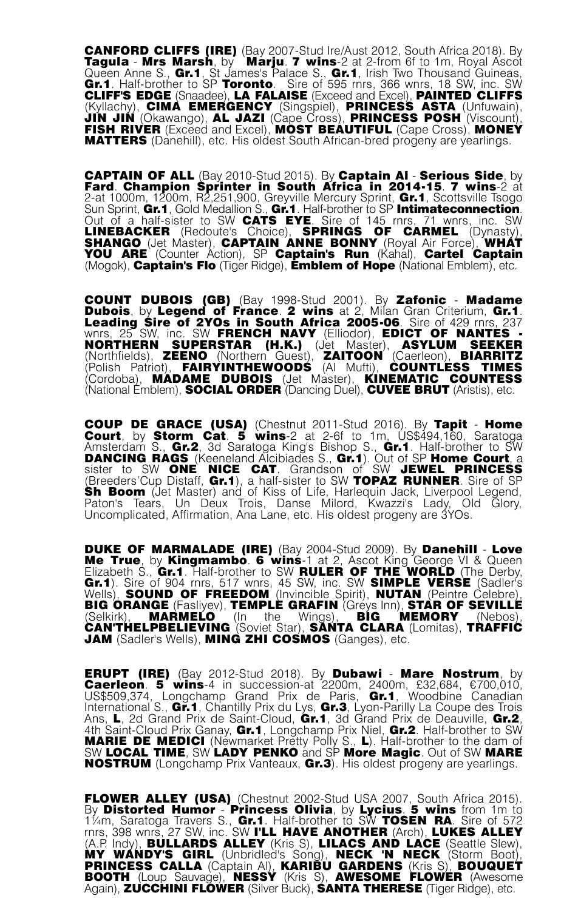CANFORD CLIFFS (IRE) (Bay 2007-Stud Ire/Aust 2012, South Africa 2018). By Tagula - Mrs Marsh, by Marju. 7 wins-2 at 2-from 6f to 1m, Royal Ascot Queen Anne S., **Gr.1**, St James's Palace S., **Gr.1**, Irish Two Thousand Guineas,<br>**Gr.1**. Half-brother to SP **Toronto**. Sire of 595 rnrs, 366 wnrs, 18 SW, inc. SW<br>CLIFF'S EDGE (Snaadee), LA FALAISE (Exceed and Excel), PAINT (Kyllachy), CIMA EMERGENCY (Singspiel), PRINCESS ASTA (Unfuwain),<br>JIN JIN (Okawango), AL JAZI (Cape Cross), PRINCESS POSH (Viscount), FISH RIVER (Exceed and Excel), MOST BEAUTIFUL (Cape Cross), MONEY MATTERS (Danehill), etc. His oldest South African-bred progeny are yearlings.

CAPTAIN OF ALL (Bay 2010-Stud 2015). By Captain Al - Serious Side, by **CAPTAIN OF ALL** (Bay 2010-Stud 2015). By **Captain Al - Serious Side**, by<br>Fard. Champion Sprinter in South Africa in 2014-15. 7 wins-2 at<br>2-at 1000m 1200m B2 251 900. Grewille Mercury Sprint Gr.1. Scottsville Tsogo 2-at 1000m, 1200m, R2,251,900, Greyville Mercury Sprint, **Gr.1**, Scottsville Tsogo<br>Sun Sprint, **Gr.1**, Gold Medallion S., **Gr.1**. Half-brother to SP **Intimateconnection**. **Part Out of a half-sister to SW CATS EXECUTE OF A half-size of a half-size of 241 1000m, 1200m, R2,251,900, Greyville Mercury Sprint, Gr.1, Scottsville Tsogo<br>Sun Sprint, Gr.1, Gold Medallion S., Gr.1. Half-brother to SP I** LINEBACKER (Redoute's Choice), SPRINGS OF CARMEL (Dynasty),<br>SHANGO (Jet Master), CAPTAIN ANNE BONNY (Royal Air Force), WHAT<br>YOU ARE (Counter Action), SP Captain's Run (Kahal), Cartel Captain<br>(Mogok), Captain's Flo (Tiger R

**COUNT DUBOIS (GB)** (Bay 1998-Stud 2001). By Zafonic - Madame<br>Dubois, by Legend of France. 2 wins at 2, Milan Gran Criterium, Gr.1.<br>Leading Sire of 2YOs in South Africa 2005-06. Sire of 429 mrs, 237<br>wnrs, 25 SW, inc. SW FR (Cordoba), MADAME DUBOIS (Jet Master), KINEMATIC COUNTESS (National Emblem), SOCIAL ORDER (Dancing Duel), CUVEE BRUT (Aristis), etc.

**COUP DE GRACE (USA)** (Chestnut 2011-Stud 2016). By Tapit - Home Court, by Storm Cat. 5 wins-2 at 2-6f to 1m, US\$494,160, Saratoga Amsterdam S., Gr.2, 3d Saratoga King's Bishop S., Gr.1. Half-brother to SW ONE Network Cast **Sh Boom** (Jet Master) and of Kiss of Life, Harlequin Jack, Liverpool Legend,<br>Paton's Tears, Un Deux Trois, Danse Milord, Kwazzi's Lady, Old Glory,<br>Uncomplicated, Affirmation, Ana Lane, etc. His oldest progeny ar

DUKE OF MARMALADE (IRE) (Bay 2004-Stud 2009). By Danehill - Love Me True, by Kingmambo. 6 wins-1 at 2, Ascot King George VI & Queen<br>Elizabeth S., Gr.1. Half-brother to SW RULER OF THE WORLD (The Derby,<br>Gr.1). Sire of 904 mrs, 517 wnrs, 45 SW, inc. SW SIMPLE VERSE (Sadler's<br>Wells), SOUND (Selkirk), MARMELO (In the Wings), BIG MEMORY (Nebos),<br>CAN'THELPBELIEVING(Soviet Star), SANTA-CLARA(Lomitas),TRAFFIC JAM (Sadler's Wells), MING ZHI COSMOS (Ganges), etc.

ERUPT (IRE) (Bay 2012-Stud 2018). By Dubawi - Mare Nostrum, by **ERUPT (IRE)** (Bay 2012-Stud 2018). By **Dubawi - Mare Nostrum**, by<br>Caerleon. 5 wins-4 in succession-at 2200m, 2400m, £32,684, €700,010,<br>US\$509,374, Longchamp Grand Prix de Paris, Gr.1, Woodbine Canadian International S., Gr.1, Chantilly Prix du Lys, Gr.3, Lyon-Parilly La Coupe des Trois Ans, L, 2d Grand Prix de Saint-Cloud, Gr.1, 3d Grand Prix de Deauville, Gr.2, 4th Saint-Cloud Prix Ganay, Gr.1, Longchamp Prix Niel, Gr.2. Half-brother to SW MARIE DE MEDICI (Newmarket Pretty Polly S., L). Half-brother to the dam of SW LOCAL TIME, SW LADY PENKO and SP More Magic. Out of SW MARE NOSTRUM (Longchamp Prix Vanteaux, Gr.3). His oldest progeny are yearlings.

FLOWER ALLEY (USA) (Chestnut 2002-Stud USA 2007, South Africa 2015). By Distorted Humor - Princess Olivia, by Lycius. 5 wins from 1m to **FLOWER ALLEY (USA)** (Chestnut 2002-Stud USA 2007, South Africa 2015).<br>By Distorted Humor - Princess Olivia, by Lycius. 5 wins from 1m to<br>1¼m, Saratoga Travers S., Gr.1. Half-brother to SW TOSEN RA. Sire of 572<br>rnrs, 398 w (A.P. Indy), BULLARDS ALLEY (Kris S), LILACS AND LACE (Seattle Slew),<br>MY WANDY'S GIRL (Unbridled's Song), NECK 'N NECK (Storm Boot),<br>PRINCESS CALLA (Captain AI), KARIBU GARDENS (Kris S), BOOTORUET<br>BOOTH (Loup Sauvage), NES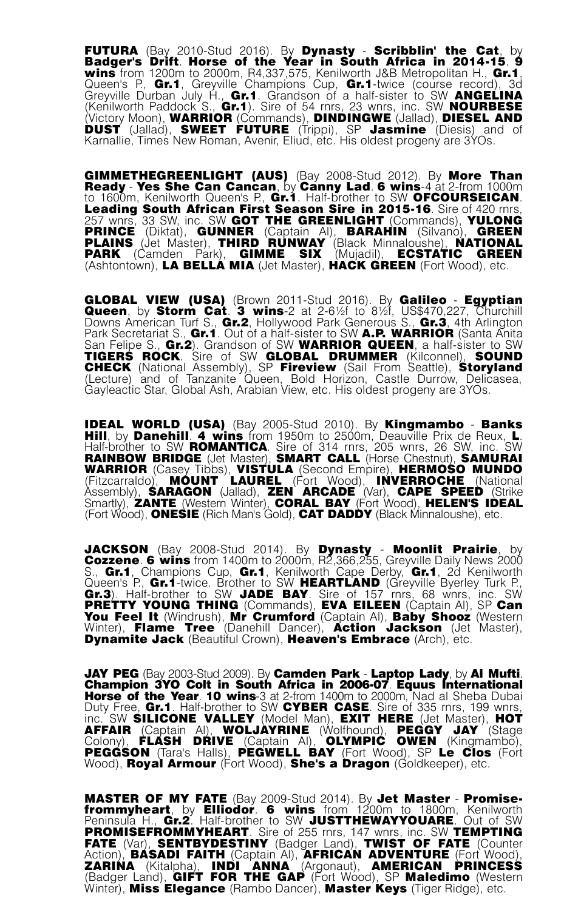FUTURA (Bay 2010-Stud 2016). By Dynasty - Scribblin' the Cat, by **FUTURA** (Bay 2010-Stud 2016). By **Dynasty - Scribblin' the Cat**, by **Badger's Drift. Horse of the Year in South Africa in 2014-15. 9 wins from 1200m to 2000m, R4,337,575, Kenilworth J&B Metropolitan H., Gr.1, Queen's P.,** (Kenilworth Paddock S., Gr.1). Sire of 54 rnrs, 23 wnrs, inc. SW NOURBESE (Victory Moon), WARRIOR (Commands), DINDINGWE (Jallad), DIESEL AND DUST (Jallad), SWEET FUTURE (Trippi), SP Jasmine (Diesis) and of Karnallie, Times New Roman, Avenir, Eliud, etc. His oldest progeny are 3YOs.

**GIMMETHEGREENLIGHT (AUS)** (Bay 2008-Stud 2012). By More Than<br>Ready - Yes She Can Cancan, by Canny Lad. 6 wins-4 at 2-from 1000m<br>to 1600m, Kenilworth Queen's P., Gr.1. Half-brother to SW OFCOURSEICAN.<br>Leading South African to 1600m, Kenilworth Queen's P., Gr.1. Half-brother to SW OFCOURSEICAN.<br>Leading South African First Season Sire in 2015-16. Sire of 420 rnrs, 257 wnrs, 33 SW, inc. SW GOT THE GREENLIGHT (Commands), YULONG **PRINCE** (Diktat), **GUNNER** (Captain AI), **BARAHIN** (Silvano), **GREEN**<br>PLAINS (Jet Master), THIRD RUNWAY (Black Minnaloushe), **NATIONAL**<br>PARK (Camden Park), GIMME SIX (Mujadil), ECSTATIC GREEN<br>(Ashtontown), LA BELLA MIA (J

GLOBAL VIEW (USA) (Brown 2011-Stud 2016). By Galileo - Egyptian **GLOBAL VIEW (USA)** (Brown 2011-Stud 2016). By **Galileo - Egyptian**<br>Queen, by Storm Cat. 3 wins-2 at 2-6½f to 8½f, US\$470,227, Churchill<br>Downs American Turf S., Gr.2, Hollywood Park Generous S., Gr.3, 4th Arlington Park Secretariat S., **Gr.1**. Out of a half-sister to SW **A.P. WARRIOR** (Santa Anita<br>San Felipe S., **Gr.2**). Grandson of SW **WARRIOR QUEEN**, a half-sister to SW Park Secretariat S., Gr.1. Out of a half-sister to SW A.P. WARRIOR (Santa Anita<br>San Felipe S., Gr.2). Grandson of SW WARRIOR QUEEN, a half-sister to SW<br>CHERS ROCK. Sire of SW GLOBAL DRUMMER (Kilconnel), SOUND<br>CHECK (Nation Gayleactic Star, Global Ash, Arabian View, etc. His oldest progeny are 3YOs.

IDEAL WORLD (USA) (Bay 2005-Stud 2010). By Kingmambo - Banks<br>Hill, by Danehill. 4 wins from 1950m to 2500m, Deauville Prix de Reux, L.<br>Half-brother to SW ROMANTICA. Sire of 314 rnrs, 205 wnrs, 26 SW, inc. SW RAINBOW BRIDGE (Jet Master), SMART CALL (Horse Chestnut), SAMURAI<br>WARRIOR (Casey Tibbs), VISTULA (Second Empire), HERMOSO MUNDO<br>(Fitzcarraldo), MOUNT LAUREL (Fort Wood), INVERROCHE (National Assembly), SARAGON (Jallad), ZEN ARCADE (Var), CAPE SPEED (Strike<br>Smartly), ZANTE (Western Winter), CORAL BAY (Fort Wood), HELEN'S IDEAL (Fort Wood), ONESIE (Rich Man's Gold), CAT DADDY (Black Minnaloushe), etc.

JACKSON (Bay 2008-Stud 2014). By Dynasty - Moonlit Prairie, by Cozzene. 6 wins from 1400m to 2000m, R2,366,255, Greyville Daily News 2000 S., Gr.1, Champions Cup, Gr.1, Kenilworth Cape Derby, Gr.1, 2d Kenilworth Queen's P., **Gr.1**-twice. Brother to SW **HEARTLAND** (Greyville Byerley Turk P.,<br>**Gr.3**). Half-brother to SW JADE BAY. Sire of 157 rnrs, 68 wnrs, inc. SW<br>PRETTY YOUNG THING (Commands), EVA EILEEN (Captain Al), SP Can You Feel It (Windrush), Mr Crumford (Captain Al), Baby Shooz (Western Winter), Flame Tree (Danehill Dancer), Action Jackson (Jet Master), **Dynamite Jack** (Beautiful Crown), Heaven's Embrace (Arch), etc.

JAY PEG (Bay 2003-Stud 2009). By Camden Park - Laptop Lady, by Al Mufti. Champion 3YO Colt in South Africa in 2006-07. Equus International Horse of the Year. 10 wins-3 at 2-from 1400m to 2000m, Nad al Sheba Dubai University of the Neutropy. By Calmeter Fark - Lapsub Paus International<br>Horse of the Year. 10 wins-3 at 2-from 1400m to 2000m, Nad al Sheba Dubai<br>Duty Free, Gr. 1. Half-brother to SW CYBER CASE. Sire of 335 nns, 199 wms,<br>

MASTER OF MY FATE (Bay 2009-Stud 2014). By Jet Master - Promisefrommyheart, by Elliodor. 6 wins from 1200m to 1800m, Kenilworth<br>Peninsula H., Gr.2. Half-brother to SW JUSTTHEWAYYOUARE. Out of SW **PROMISEFROMMYHEART**. Sire of 255 rnrs, 147 wnrs, inc. SW TEMPTING<br>FATE (Var), SENTBYDESTINY (Badger Land), TWIST OF FATE (Counter<br>Action), BASADI FAITH (Captain Al), AFRICAN ADVENTURE (Fort Wood),<br>ZARINA (Kitalpha), INDI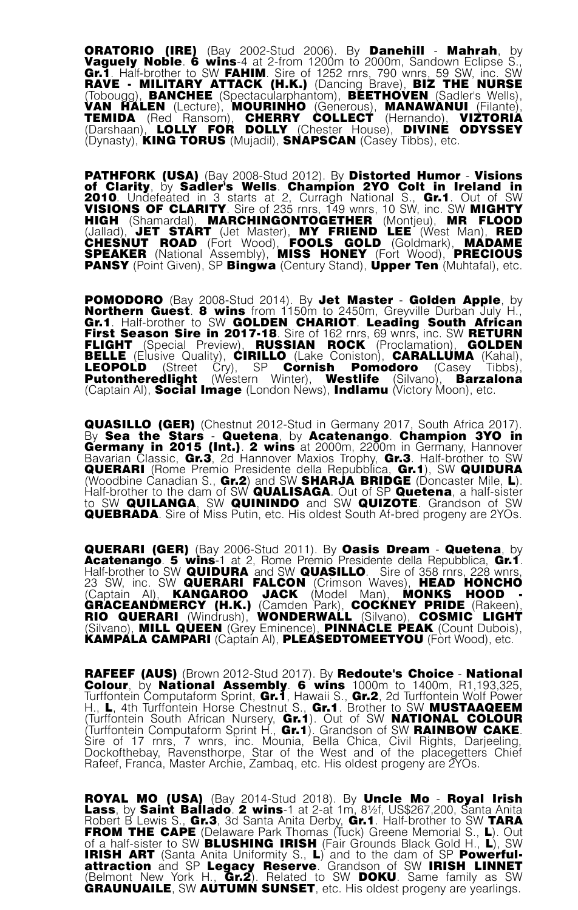ORATORIO (IRE) (Bay 2002-Stud 2006). By Danehill - Mahrah, by **ORATORIO (IRE)** (Bay 2002-Stud 2006). By **Danehill - Mahrah**, by<br>Vaguely Noble. 6 wins-4 at 2-from 1200m to 2000m, Sandown Eclipse S.,<br>Gr.1 Half-brother to SW FAHIM Sire of 1252 rnrs. 790 wnrs. 59 SW inc. SW Gr.1. Half-brother to SW FAHIM. Sire of 1252 rnrs, 790 wnrs, 59 SW, inc. SW<br>RAVE • MILITARY ATTACK (H.K.) (Dancing Brave), BIZ THE NURSE (Tobougg), BANCHEE (Spectacularphantom), BEETHOVEN (Sadler's Wells), VAN HALEN (Lecture), MOURINHO (Generous), MANAWANUI (Filante),<br>TEMIDA (Red Ransom), CHERRY COLLECT (Hernando), VIZTORIA<br>(Darshaan), LOLLY FOR DOLLY (Chester House), DIVINE ODYSSEY<br>(Dynasty), KING TORUS (Mujadil), SNAPSCAN

PATHFORK (USA) (Bay 2008-Stud 2012). By Distorted Humor - Visions of Clarity, by Sadler's Wells. Champion 2YO Colt in Ireland in 2010. Undefeated in 3 starts at 2, Curragh National S., Gr.1. Out of SW VISIONS OF CLARITY. Sire of 235 rnrs, 149 wnrs, 10 SW, inc. SW MIGHTY<br>HIGH (Shamardal), MARCHINGONTOGETHER (Montjeu), MR FLOOD<br>(Jallad), JET START (Jet Master), MY FRIEND LEE (West Man), RED<br>CHESNUT ROAD (Fort Wood), FOOLS

POMODORO (Bay 2008-Stud 2014). By Jet Master - Golden Apple, by Northern Guest. 8 wins from 1150m to 2450m, Greyville Durban July H., **POMODORO** (Bay 2008-Stud 2014). By **Jet Master - Golden Apple**, by **Northern Guest. 8 wins** from 1150m to 2450m, Greyville Durban July H., Gr.1. Half-brother to SW GOLDEN CHARIOT. Leading South African First Season Sire i Putontheredlight (Western Winter), Westlife (Silvano), Barzalona (Captain Al), **Social Image** (London News), **Indlamu** (Victory Moon), etc.

QUASILLO (GER) (Chestnut 2012-Stud in Germany 2017, South Africa 2017). By Sea the Stars - Quetena, by Acatenango. Champion 3YO in **QUASILLO (GER)** (Chestnut 2012-Stud in Germany 2017, South Africa 2017).<br>By Sea the Stars - Quetena, by Acatenango. Champion 3YO in<br>Germany in 2015 (Int.). 2 wins at 2000m, 2200m in Germany, Hannover<br>Rayarian Classic Gr.3 Bavarian Classic, Gr.3, 2d Hannover Maxios Trophy, Gr.3. Half-brother to SW QUERARI (Rome Premio Presidente della Repubblica, Gr.1), SW QUIDURA (Woodbine Canadian S.,  $Gr.2$ ) and SW SHARJA BRIDGE (Doncaster Mile, L). Half-brother to the dam of SW QUALISAGA. Out of SP Quetena, a half-sister<br>to SW QUILANGA, SW QUININDO and SW QUIZOTE. Grandson of SW<br>QUEBRADA. Sire of Miss Putin, etc. His oldest South Af-bred progeny are 2YOs.

QUERARI (GER) (Bay 2006-Stud 2011). By Oasis Dream - Quetena, by Acatenango. 5 wins-1 at 2, Rome Premio Presidente della Repubblica, Gr.1.<br>Half-brother to SW QUIDURA and SW QUASILLO. Sire of 358 rnrs, 228 wnrs, 23 SW, inc. SW QUERARI FALCON (Crimson Waves), HEAD HONCHO (Captain AI), KANGAROO JACK (Model Man), MONKS HOOD -<br>GRACEANDMERCY (H.K.) (Camden Park), COCKNEY PRIDE (Rakeen),<br>RIO QUERARI (Windrush), WONDERWALL (Silvano), COSMIC LIGHT<br>(Silvano), MILL QUEEN (Grey Eminence), PINNACLE P KAMPALA CAMPARI (Captain Al), PLEASEDTOMEETYOU (Fort Wood), etc.

RAFEEF (AUS) (Brown 2012-Stud 2017). By Redoute's Choice - National RAFEEF (AUS) (Brown 2012-Stud 2017). By Redoute's Choice - National<br>Colour, by National Assembly. 6 wins 1000m to 1400m, R1,193,325,<br>Turffontein Computaform Sprint, Gr.1, Hawaii S., Gr.2, 2d Turffontein Wolf Power<br>H., L, 4 (Turffontein South African Nursery, Gr.1). Out of SW NATIONAL COLOUR<br>(Turffontein Computaform Sprint H., Gr.1). Grandson of SW RAINBOW CAKE. Sire of 17 rnrs, 7 wnrs, inc. Mounia, Bella Chica, Civil Rights, Darjeeling, Dockofthebay, Ravensthorpe, Star of the West and of the placegetters Chief Rafeef, Franca, Master Archie, Zambaq, etc. His oldest progeny are 2YOs.

ROYAL MO (USA) (Bay 2014-Stud 2018). By Uncle Mo - Royal Irish Lass, by Saint Ballado. 2 wins-1 at 2-at 1m, 8½f, US\$267,200, Santa Anita Robert B Lewis S., Gr.3, 3d Santa Anita Derby, Gr.1. Half-brother to SW TARA FROM THE CAPE (Delaware Park Thomas (Tuck) Greene Memorial S., L). Out of a half-sister to SW BLUSHING IRISH (Fàir Grounds Black Gold H., L), SW<br>IRISH ART (Santa Anita Uniformity S., L) and to the dam of SP Powerfulattraction and SP Legacy Reserve. Grandson of SW IRISH LINNET (Belmont New York H., Gr.2). Related to SW DOKU. Same family as SW<br>GRAUNUAILE, SW AUTUMN SUNSET, etc. His oldest progeny are yearlings.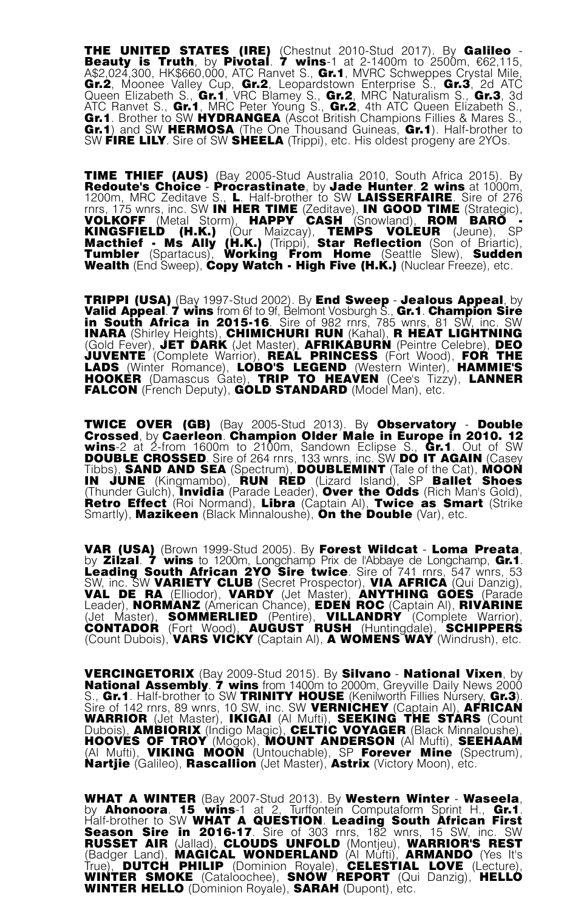THE UNITED STATES (IRE) (Chestnut 2010-Stud 2017). By Galileo -<br>Beauty is Truth, by Pivotal. 7 wins-1 at 2-1400m to 2500m, €62,115,<br>A\$2,024,300, HK\$660,000, ATC Ranvet S., Gr.1, MVRC Schweppes Crystal Mile, Gr.2, Moonee Valley Cup, Gr.2, Leopardstown Enterprise S., Gr.3, 2d ATC<br>Queen Elizabeth S., Gr.1, VRC Blamey S., Gr.2, MRC Naturalism S., Gr.3, 3d<br>ATC Ranvet S., Gr.1, MRC Peter Young S., Gr.2, 4th ATC Queen Elizabeth S.,<br> Gr.1) and SW HERMOSA (The One Thousand Guineas, Gr.1). Half-brother to SW FIRE LILY. Sire of SW SHEELA (Trippi), etc. His oldest progeny are 2YOs.

TIME THIEF (AUS) (Bay 2005-Stud Australia 2010, South Africa 2015). By Redoute's Choice - Procrastinate, by Jade Hunter. 2 wins at 1000m, 1200m, MRC Zeditave S., L. Half-brother to SW LAISSERFAIRE. Sire of 276 rnrs, 175 wnrs, inc. SW **IN HER TIME** (Zeditave), **IN GOOD TIME** (Strategic), **VOLKOFF** (Metal Storm), **HAPPY CASH** (Snowland), **ROM BARO** KINGSFIELD (H.K.) (Our Maizcay), TEMPS VOLEUR (Jeune), SP<br>Macthief - Ms Ally (H.K.) (Trippi), Star Reflection (Son of Briartic),<br>Tumbler (Spartacus), Working From Home (Seattle Slew), Sudden<br>Wealth (End Sweep),CopyWatch -

TRIPPI (USA) (Bay 1997-Stud 2002). By End Sweep - Jealous Appeal, by<br>Valid Appeal. 7 wins from 61 to 9f, Belmont Vosburgh S., Gr.1. Champion Sire<br>in South Africa in 2015-16. Sire of 982 rns, 785 wnrs, 81 SW, inc. SW<br>INARA FALCON (French Deputy), GOLD STANDARD (Model Man), etc.

TWICE OVER (GB) (Bay 2005-Stud 2013). By Observatory - Double Crossed, by Caerleon. Champion Older Male in Europe in 2010. 12 wins-2 at 2-from 1600m to 2100m, Sandown Eclipse S., Gr.1. Out of SW DOUBLE CROSSED. Sire of 264 rnrs, 133 wnrs, inc. SW DO IT AGAIN (Casey Tibbs), SAND AND SEA (Spectrum), DOUBLEMINT (Tale of the Cat), MOON IN JUNE (Kingmambo), RUN RED (Lizard Island), SP Ballet Shoes (Thunder Gulch), **Invidia** (Parade Leader), Over the Odds (Rich Man's Gold),<br>Retro Effect (Roi Normand), Libra (Captain Al), Twice as Smart (Strike Smartly), **Mazikeen** (Black Minnaloushe), **On the Double** (Var), etc.

VAR (USA) (Brown 1999-Stud 2005). By Forest Wildcat - Loma Preata. by Zilzal. 7 wins to 1200m, Longchamp Prix de l'Abbaye de Longchamp, Gr.1.<br>Leading South African 2YO Sire twice. Sire of 741 mrs, 547 wnrs, 53<br>SW, inc. SW VARIETY CLUB (Secret Prospector), VIA AFRICA (Qui Danzig),<br>VAL DE R (Jet Master), SOMMERLIED (Pentire), VILLANDRY (Complete Warrior),<br>CONTADOR (Fort Wood), AUGUST RUSH (Huntingdale), SCHIPPERS (Count Dubois), VARS VICKY (Captain Al), A WOMENS WAY (Windrush), etc.

VERCINGETORIX (Bay 2009-Stud 2015). By Silvano - National Vixen, by<br>National Assembly. 7 wins from 1400m to 2000m, Greywile Daily News 2000<br>S., Gr.1. Half-brother to SW TRINITY HOUSE (Kenilworth Fillies Nursery, Gr.3).<br>Sir WARRIOR (Jet Master), IKIGAI (Al Mufti), SEEKING THE STARS (Count<br>Dubois), AMBIORIX (Indigo Magic), CELTIC VOYAGER (Black Minnaloushe), HOOVES OF TROY (Mogok), MOUNT ANDERSON (Al Mufti), SEEHAAM (Al Mufti), VIKING MOON (Untouchable), SP Forever Mine (Spectrum), Nartije (Galileo), Rascallion (Jet Master), Astrix (Victory Moon), etc.

WHAT A WINTER (Bay 2007-Stud 2013). By Western Winter - Waseela, by Ahonoora. 15 wins-1 at 2, Turffontein Computaform Sprint H., Gr.1. Half-brother to SW WHAT A QUESTION. Leading South African First WHAT A WINDER (Lay 2007-3000 2015). By WESTERN WHERE THE SAME Althonora. 15 wins-1 at 2, Turffontein Computation Sprint H., Gr.1.<br>Half-brother to SW WHAT A QUESTION. Leading South African First<br>Season Sire in 2016-17. Sire WINTER HELLO (Dominion Royale), SARAH (Dupont), etc.